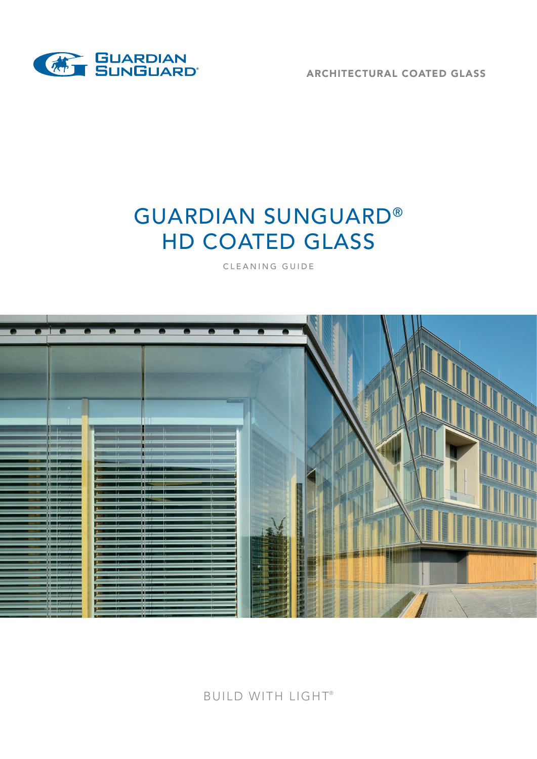

ARCHITECTURAL COATED GLASS

# GUARDIAN SUNGUARD® HD COATED GLASS

CLEANING GUIDE



#### BUILD WITH LIGHT®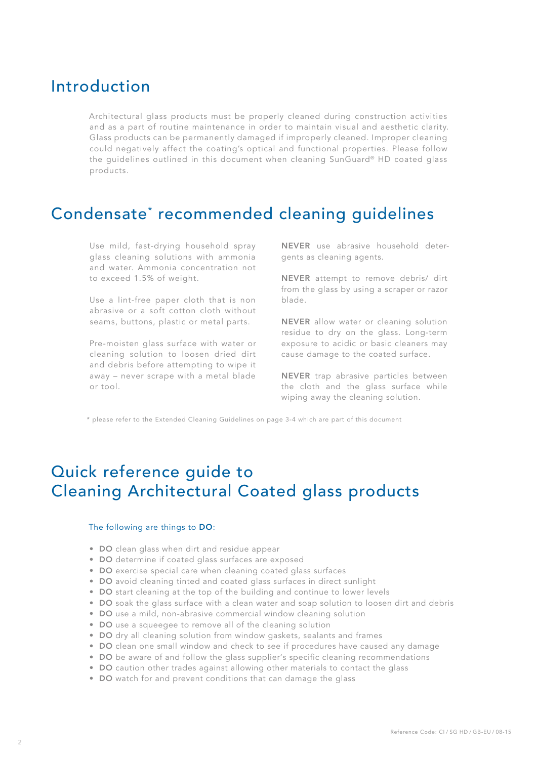### Introduction

Architectural glass products must be properly cleaned during construction activities and as a part of routine maintenance in order to maintain visual and aesthetic clarity. Glass products can be permanently damaged if improperly cleaned. Improper cleaning could negatively affect the coating's optical and functional properties. Please follow the guidelines outlined in this document when cleaning SunGuard® HD coated glass products.

### Condensate\* recommended cleaning guidelines

Use mild, fast-drying household spray glass cleaning solutions with ammonia and water. Ammonia concentration not to exceed 1.5% of weight.

Use a lint-free paper cloth that is non abrasive or a soft cotton cloth without seams, buttons, plastic or metal parts.

Pre-moisten glass surface with water or cleaning solution to loosen dried dirt and debris before attempting to wipe it away – never scrape with a metal blade or tool.

NEVER use abrasive household detergents as cleaning agents.

NEVER attempt to remove debris/ dirt from the glass by using a scraper or razor blade.

NEVER allow water or cleaning solution residue to dry on the glass. Long-term exposure to acidic or basic cleaners may cause damage to the coated surface.

NEVER trap abrasive particles between the cloth and the glass surface while wiping away the cleaning solution.

\* please refer to the Extended Cleaning Guidelines on page 3-4 which are part of this document

## Quick reference guide to Cleaning Architectural Coated glass products

#### The following are things to DO:

- DO clean glass when dirt and residue appear
- DO determine if coated glass surfaces are exposed
- DO exercise special care when cleaning coated glass surfaces
- DO avoid cleaning tinted and coated glass surfaces in direct sunlight
- DO start cleaning at the top of the building and continue to lower levels
- DO soak the glass surface with a clean water and soap solution to loosen dirt and debris
- DO use a mild, non-abrasive commercial window cleaning solution
- DO use a squeegee to remove all of the cleaning solution
- DO dry all cleaning solution from window gaskets, sealants and frames
- DO clean one small window and check to see if procedures have caused any damage
- DO be aware of and follow the glass supplier's specific cleaning recommendations
- DO caution other trades against allowing other materials to contact the glass
- DO watch for and prevent conditions that can damage the glass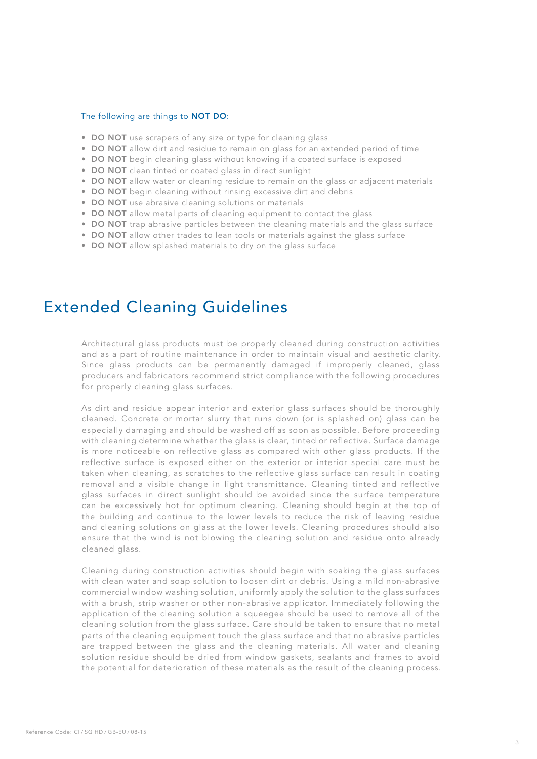#### The following are things to NOT DO:

- DO NOT use scrapers of any size or type for cleaning glass
- DO NOT allow dirt and residue to remain on glass for an extended period of time
- DO NOT begin cleaning glass without knowing if a coated surface is exposed
- DO NOT clean tinted or coated glass in direct sunlight
- DO NOT allow water or cleaning residue to remain on the glass or adjacent materials
- DO NOT begin cleaning without rinsing excessive dirt and debris
- DO NOT use abrasive cleaning solutions or materials
- DO NOT allow metal parts of cleaning equipment to contact the glass
- DO NOT trap abrasive particles between the cleaning materials and the glass surface
- DO NOT allow other trades to lean tools or materials against the glass surface
- DO NOT allow splashed materials to dry on the glass surface

#### Extended Cleaning Guidelines

Architectural glass products must be properly cleaned during construction activities and as a part of routine maintenance in order to maintain visual and aesthetic clarity. Since glass products can be permanently damaged if improperly cleaned, glass producers and fabricators recommend strict compliance with the following procedures for properly cleaning glass surfaces.

As dirt and residue appear interior and exterior glass surfaces should be thoroughly cleaned. Concrete or mortar slurry that runs down (or is splashed on) glass can be especially damaging and should be washed off as soon as possible. Before proceeding with cleaning determine whether the glass is clear, tinted or reflective. Surface damage is more noticeable on reflective glass as compared with other glass products. If the reflective surface is exposed either on the exterior or interior special care must be taken when cleaning, as scratches to the reflective glass surface can result in coating removal and a visible change in light transmittance. Cleaning tinted and reflective glass surfaces in direct sunlight should be avoided since the surface temperature can be excessively hot for optimum cleaning. Cleaning should begin at the top of the building and continue to the lower levels to reduce the risk of leaving residue and cleaning solutions on glass at the lower levels. Cleaning procedures should also ensure that the wind is not blowing the cleaning solution and residue onto already cleaned glass.

Cleaning during construction activities should begin with soaking the glass surfaces with clean water and soap solution to loosen dirt or debris. Using a mild non-abrasive commercial window washing solution, uniformly apply the solution to the glass surfaces with a brush, strip washer or other non-abrasive applicator. Immediately following the application of the cleaning solution a squeegee should be used to remove all of the cleaning solution from the glass surface. Care should be taken to ensure that no metal parts of the cleaning equipment touch the glass surface and that no abrasive particles are trapped between the glass and the cleaning materials. All water and cleaning solution residue should be dried from window gaskets, sealants and frames to avoid the potential for deterioration of these materials as the result of the cleaning process.